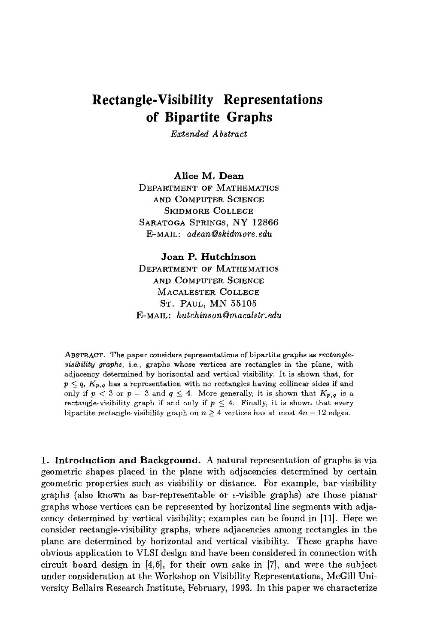# **Rectangle-Visibility Representations of Bipartite Graphs**

*Extended Abstract* 

**Alice M. Dean**  DEPARTMENT OF MATHEMATICS AND COMPUTER SCIENCE SKIDMORE COLLEGE SARATOGA SPRINGS, NY 12866 E-MAIL: *adean@skidmore, edu* 

### **Joan P. Hutchinson**

DEPARTMENT OF MATHEMATICS AND COMPUTER SCIENCE MACALESTER COLLEGE ST. PAUL, MN 55105 E-MAIL: *hutchinson@rnacalstr, edu* 

ABSTRACT. The paper considers representations of bipartite graphs as *rectanglevisibility graphs,* i.e., graphs whose vertices are rectangles in the plane, with adjacency determined by horizontal and vertical visibility. It is shown that, for  $p \leq q$ ,  $K_{p,q}$  has a representation with no rectangles having collinear sides if and only if  $p < 3$  or  $p = 3$  and  $q \leq 4$ . More generally, it is shown that  $K_{p,q}$  is a rectangle-visibility graph if and only if  $p \leq 4$ . Finally, it is shown that every bipartite rectangle-visibility graph on  $n > 4$  vertices has at most  $4n - 12$  edges.

1. Introduction and Background. A natural representation of graphs is via geometric shapes placed in the plane with adjacencies determined by certain geometric properties such as visibility or distance. For example, bar-visibility graphs (also known as bar-representable or  $\epsilon$ -visible graphs) are those planar graphs whose vertices can be represented by horizontal line segments with adjacency determined by vertical visibility; examples can be found in [11]. Here we consider rectangle-visibility graphs, where adjacencies among rectangles in the plane are determined by horizontal and vertical visibility. These graphs have obvious application to VLSI design and have been considered in connection with circuit board design in [4,6], for their own sake in [7], and were the subject under consideration at the Workshop on Visibility Representations, McGill University Bellairs Research Institute, February, 1993. In this paper we characterize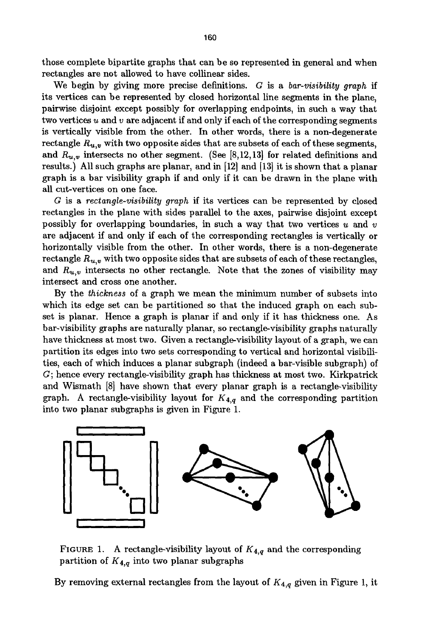those complete bipartite graphs that can be so represented in general and when rectangles are not allowed to have collinear sides.

We begin by giving more precise definitions. G is a *bar-visibility graph* if its vertices can be represented by closed horizontal line segments in the plane, pairwise disjoint except possibly for overlapping endpoints, in such a way that two vertices  $u$  and  $v$  are adjacent if and only if each of the corresponding segments is vertically visible from the other. In other words, there is a non-degenerate rectangle  $R_{u,v}$  with two opposite sides that are subsets of each of these segments, and  $R_{u,v}$  intersects no other segment. (See [8,12,13] for related definitions and results.) All such graphs are planar, and in [12] and [13] it is shown that a planar graph is a bar visibility graph if and only if it can be drawn in the plane with all cut-vertices on one face.

G is a *rectangle-visibility graph* if its vertices can be represented by closed rectangles in the plane with sides parallel to the axes, pairwise disjoint except possibly for overlapping boundaries, in such a way that two vertices  $u$  and  $v$ are adjacent if and only if each of the corresponding rectangles is vertically or horizontally visible from the other. In other words, there is a non-degenerate rectangle  $R_{u,v}$  with two opposite sides that are subsets of each of these rectangles, and  $R_{u,v}$  intersects no other rectangle. Note that the zones of visibility may intersect and cross one another.

By the *thickness* of a graph we mean the minimum number of subsets into which its edge set can be partitioned so that the induced graph on each subset is planar. Hence a graph is planar if and only if it has thickness one. As bar-visibility graphs are naturally planar, so rectangle-visibility graphs naturally have thickness at most two. Given a rectangle-visibility layout of a graph, we can partition its edges into two sets corresponding to vertical and horizontal visibilities, each of which induces a planar subgraph (indeed a bar-visible subgraph) of G; hence every rectangle-visibility graph has thickness at most two. Kirkpatrick and Wismath [8] have shown that every planar graph is a rectangle-visibility graph. A rectangle-visibility layout for *K4,q* and the corresponding partition into two planar subgraphs is given in Figure 1.



FIGURE 1. A rectangle-visibility layout of  $K_{4,q}$  and the corresponding partition of *K4,q* into two planar subgraphs

By removing external rectangles from the layout of *K4,q* given in Figure 1, it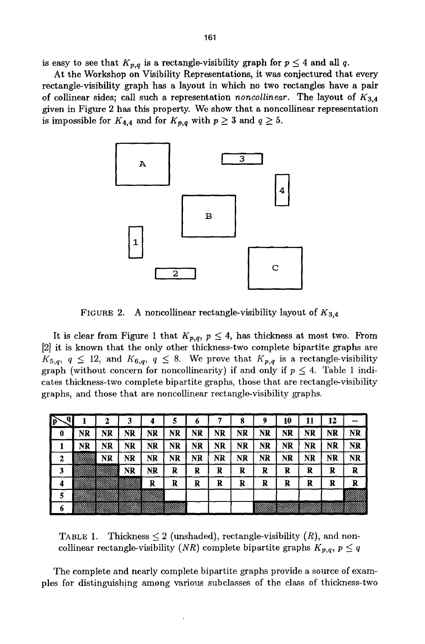is easy to see that  $K_{p,q}$  is a rectangle-visibility graph for  $p \leq 4$  and all q.

At the Workshop on Visibility Representations, it was conjectured that every rectangle-visibility graph has a layout in which no two rectangles have a pair of collinear sides; call such a representation *noncollinear.* The layout of K3,4 given in Figure 2 has this property. We show that a noncollinear representation is impossible for  $K_{4,4}$  and for  $K_{p,q}$  with  $p \geq 3$  and  $q \geq 5$ .



FIGURE 2. A noncollinear rectangle-visibility layout of  $K_{3,4}$ 

It is clear from Figure 1 that  $K_{p,q}$ ,  $p \leq 4$ , has thickness at most two. From [2] it is known that the only other thickness-two complete bipartite graphs are  $K_{5,q}$ ,  $q \leq 12$ , and  $K_{6,q}$ ,  $q \leq 8$ . We prove that  $K_{p,q}$  is a rectangle-visibility graph (without concern for noncollinearity) if and only if  $p \leq 4$ . Table 1 indicates thickness-two complete bipartite graphs, those that are rectangle-visibility graphs, and those that are noncollinear rectangle-visibility graphs.

|   |             |        |             |           |    | o  |                |    | y         | 10        |    | 12 | $$ |
|---|-------------|--------|-------------|-----------|----|----|----------------|----|-----------|-----------|----|----|----|
| o | NR          | NR     | NR          | NR        | NR | NR | $N_{\rm I\!R}$ | NR | <b>NR</b> | NR        | NR | NR | NR |
|   | NR          | NR     | NR          | NR        | NR | NR | NR             | NR | NR        | NR        | NR | NR | NR |
|   | <b>mass</b> | NR     | NR          | <b>NR</b> | NR | NR | NR             | NR | NR        | <b>NR</b> | NR | NR | NR |
| 3 |             | 880088 | NR          | <b>NR</b> | R  | R  | R              | R  | R         | R         | R  | R  | R  |
| 4 |             |        | ,,,,,,,,,,, | R         | R  | R  | R              | R  | R         | R         | R  | R  | R  |
| 5 |             |        |             |           |    |    |                |    |           |           |    |    |    |
| O |             |        |             |           |    |    |                |    | ಜುಮಾ      |           |    |    |    |

TABLE 1. Thickness  $\leq 2$  (unshaded), rectangle-visibility  $(R)$ , and noncollinear rectangle-visibility *(NR)* complete bipartite graphs  $K_{p,q}, p \leq q$ 

The complete and nearly complete bipartite graphs provide a source of examples for distinguishing among various subclasses of the class of thickness-two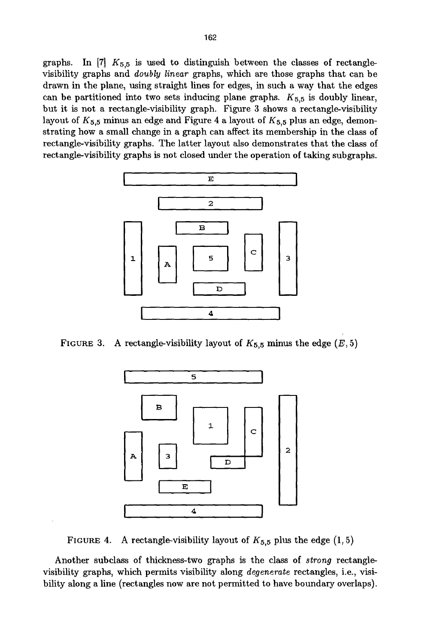graphs. In [7]  $K_{5,5}$  is used to distinguish between the classes of rectanglevisibility graphs and *doubly linear* graphs, which are those graphs that can be drawn in the plane, using straight lines for edges, in such a way that the edges can be partitioned into two sets inducing plane graphs.  $K_{5,5}$  is doubly linear, but it is not a rectangle-visibility graph. Figure 3 shows a rectangle-visibility layout of  $K_{5,5}$  minus an edge and Figure 4 a layout of  $K_{5,5}$  plus an edge, demonstrating how a small change in a graph can affect its membership in the class of rectangle-visibility graphs. The latter layout also demonstrates that the class of rectangle-visibility graphs is not closed under the operation of taking subgraphs.



FIGURE 3. A rectangle-visibility layout of  $K_{5,5}$  minus the edge  $(E, 5)$ 



FIGURE 4. A rectangle-visibility layout of  $K_{5,5}$  plus the edge  $(1,5)$ 

Another subclass of thickness-two graphs is the class of *strong* rectanglevisibility graphs, which permits visibility along *degenerate* rectangles, i.e., visibility along a line (rectangles now are not permitted to have boundary overlaps).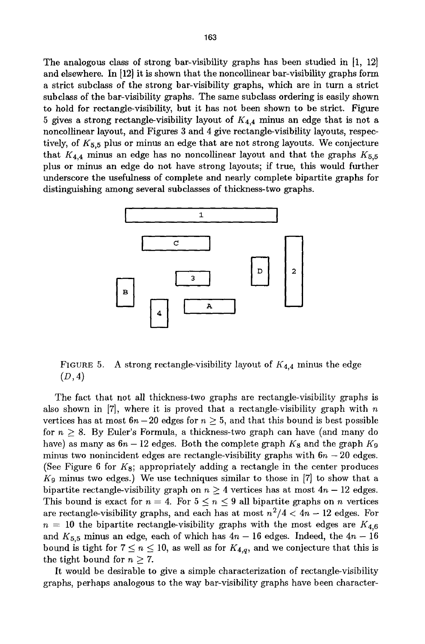The analogous class of strong bar-visibility graphs has been studied in [1, 12] and elsewhere. In  $[12]$  it is shown that the noncollinear bar-visibility graphs form a strict subclass of the strong bar-visibility graphs, which are in turn a strict subclass of the bar-visibility graphs. The same subclass ordering is easily shown to hold for rectangle-visibility, but it has not been shown to be strict. Figure 5 gives a strong rectangle-visibility layout of  $K_{4,4}$  minus an edge that is not a noncollinear layout, and Figures 3 and 4 give rectangle-visibility layouts, respectively, of  $K_{5,5}$  plus or minus an edge that are not strong layouts. We conjecture that  $K_{4,4}$  minus an edge has no noncollinear layout and that the graphs  $K_{5,5}$ plus or minus an edge do not have strong layouts; if true, this would further underscore the usefulness of complete and nearly complete bipartite graphs for distinguishing among several subclasses of thickness-two graphs.



FIGURE 5. A strong rectangle-visibility layout of *K4,4* minus the edge  $(D, 4)$ 

The fact that not all thickness-two graphs are rectangle-visibility graphs is also shown in  $[7]$ , where it is proved that a rectangle-visibility graph with  $n$ vertices has at most  $6n-20$  edges for  $n \geq 5$ , and that this bound is best possible for  $n \geq 8$ . By Euler's Formula, a thickness-two graph can have (and many do have) as many as  $6n - 12$  edges. Both the complete graph  $K_8$  and the graph  $K_9$ minus two nonincident edges are rectangle-visibility graphs with  $6n - 20$  edges. (See Figure 6 for  $K_8$ ; appropriately adding a rectangle in the center produces  $K_9$  minus two edges.) We use techniques similar to those in  $[7]$  to show that a bipartite rectangle-visibility graph on  $n \geq 4$  vertices has at most  $4n - 12$  edges. This bound is exact for  $n = 4$ . For  $5 \le n \le 9$  all bipartite graphs on n vertices are rectangle-visibility graphs, and each has at most  $n^2/4 < 4n - 12$  edges. For  $n = 10$  the bipartite rectangle-visibility graphs with the most edges are  $K_{4,6}$ and  $K_{5,5}$  minus an edge, each of which has  $4n - 16$  edges. Indeed, the  $4n - 16$ bound is tight for  $7 \le n \le 10$ , as well as for  $K_{4,q}$ , and we conjecture that this is the tight bound for  $n \geq 7$ .

It would be desirable to give a simple characterization of rectangle-visibility graphs, perhaps analogous to the way bar-visibility graphs have been character-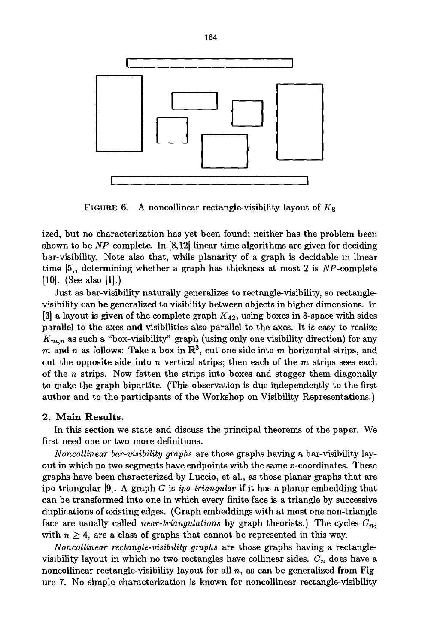

FIGURE 6. A noncollinear rectangle-visibility layout of  $K_8$ 

ized, but no characterization has yet been found; neither has the problem been shown to be  $NP$ -complete. In [8,12] linear-time algorithms are given for deciding bar-visibility. Note also that, while planarity of a graph is decidable in linear time [5], determining whether a graph has thickness at most 2 is NP-complete [10]. (See also [1].)

Just as bar-visibility naturally generalizes to rectangle-visibility, so rectanglevisibility can be generalized to visibility between objects in higher dimensions. In [3] a layout is given of the complete graph  $K_{42}$ , using boxes in 3-space with sides parallel to the axes and visibilities also parallel to the axes. It is easy to realize  $K_{m,n}$  as such a "box-visibility" graph (using only one visibility direction) for any m and n as follows: Take a box in  $\mathbb{R}^3$ , cut one side into m horizontal strips, and cut the opposite side into n vertical strips; then each of the  $m$  strips sees each of the  $n$  strips. Now fatten the strips into boxes and stagger them diagonally to make the graph bipartite. (This observation is due independently to the first author and to the participants of the Workshop on Visibility Representations.)

### **2. Main Results.**

In this section we state and discuss the principal theorems of the paper. We first need one or two more definitions.

*Noncollinear bar-visibility graphs* are those graphs having a bar-visibility layout in which no two segments have endpoints with the same x-coordinates. These graphs have been characterized by Luccio, et al., as those planar graphs that are ipo-triangular [9]. A graph G is *ipo-triangular* if it has a planar embedding that can be transformed into one in which every finite face is a triangle by successive duplications of existing edges. (Graph embeddings with at most one non-triangle face are usually called *near-triangulations* by graph theorists.) The cycles  $C_n$ , with  $n \geq 4$ , are a class of graphs that cannot be represented in this way.

*Noncollinear rectangle-visibility graphs* are those graphs having a rectanglevisibility layout in which no two rectangles have collinear sides.  $C_n$  does have a noncollinear rectangle-visibility layout for all  $n$ , as can be generalized from Figure 7. No simple characterization is known for noncollinear rectangle-visibility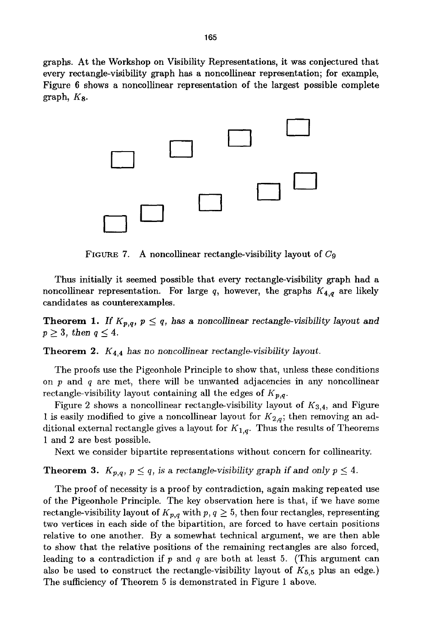graphs. At the Workshop on Visibility Representations, it was conjectured that every rectangle-visibility graph has a noncollinear representation; for example, Figure 6 shows a noncollinear representation of the largest possible complete graph, Ks.



FIGURE 7. A noncollinear rectangle-visibility layout of  $C_9$ 

Thus initially it seemed possible that every rectangle-visibility graph had a noncollinear representation. For large  $q$ , however, the graphs  $K_{4,q}$  are likely candidates as counterexamples.

**Theorem 1.** *If*  $K_{p,q}$ ,  $p \leq q$ , has a noncollinear rectangle-visibility layout and  $p \geq 3$ , then  $q \leq 4$ .

Theorem 2.  $K_{4,4}$  has no noncollinear rectangle-visibility layout.

The proofs use the Pigeonhole Principle to show that, unless these conditions on  $p$  and  $q$  are met, there will be unwanted adjacencies in any noncollinear rectangle-visibility layout containing all the edges of  $K_{p,q}$ .

Figure 2 shows a noncollinear rectangle-visibility layout of *K3,4,* and Figure 1 is easily modified to give a noncollinear layout for  $K_{2,q}$ ; then removing an additional external rectangle gives a layout for  $K_{1,q}$ . Thus the results of Theorems 1 and 2 are best possible.

Next we consider bipartite representations without concern for collinearity.

## **Theorem 3.**  $K_{p,q}$ ,  $p \leq q$ , is a rectangle-visibility graph if and only  $p \leq 4$ .

The proof of necessity is a proof by contradiction, again making repeated use of the Pigeonhole Principle. The key observation here is that, if we have some rectangle-visibility layout of  $K_{p,q}$  with  $p, q \geq 5$ , then four rectangles, representing two vertices in each side of the bipartition, are forced to have certain positions relative to one another. By a somewhat technical argument, we are then able to show that the relative positions of the remaining rectangles are also forced, leading to a contradiction if  $p$  and  $q$  are both at least 5. (This argument can also be used to construct the rectangle-visibility layout of  $K_{5,5}$  plus an edge.) The sufficiency of Theorem 5 is demonstrated in Figure 1 above.